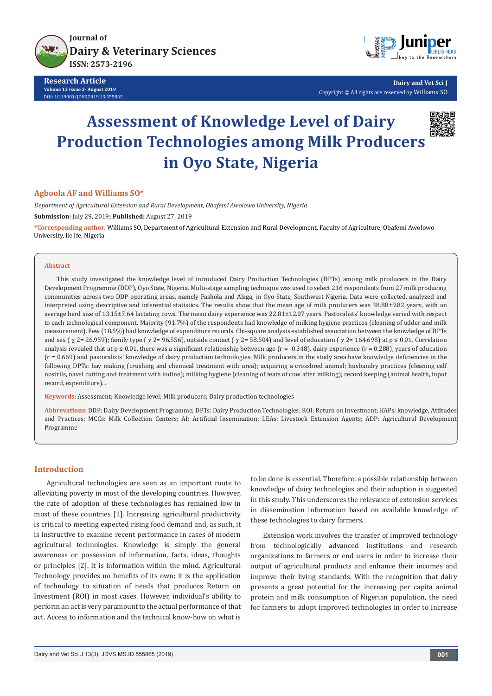

**Research Article Volume 13 Issue 3- August 2019** DOI: [10.19080/JDVS.2019.13.555865](http://dx.doi.org/10.19080/JDVS.2019.13.555865)



**Dairy and Vet Sci J** Copyright © All rights are reserved by Williams SO

# **Assessment of Knowledge Level of Dairy Production Technologies among Milk Producers in Oyo State, Nigeria**



## **Agboola AF and Williams SO\***

*Department of Agricultural Extension and Rural Development, Obafemi Awolowo University, Nigeria* **Submission:** July 29, 2019**; Published:** August 27, 2019

**\*Corresponding author**: Williams SO, Department of Agricultural Extension and Rural Development, Faculty of Agriculture, Obafemi Awolowo University, Ile Ife, Nigeria

#### **Abstract**

This study investigated the knowledge level of introduced Dairy Production Technologies (DPTs) among milk producers in the Dairy Development Programme (DDP), Oyo State, Nigeria. Multi-stage sampling technique was used to select 216 respondents from 27 milk producing communities across two DDP operating areas, namely Fashola and Alaga, in Oyo State, Southwest Nigeria. Data were collected, analyzed and interpreted using descriptive and inferential statistics. The results show that the mean age of milk producers was 38.88±9.82 years, with an average herd size of 13.15±7.64 lactating cows. The mean dairy experience was 22.81±12.07 years. Pastoralists' knowledge varied with respect to each technological component. Majority (91.7%) of the respondents had knowledge of milking hygiene practices (cleaning of udder and milk measurement). Few (18.5%) had knowledge of expenditure records. Chi-square analysis established association between the knowledge of DPTs and sex ( $\chi$  2= 26.959); family type ( $\chi$  2= 96.556), outside contact ( $\chi$  2= 58.504) and level of education ( $\chi$  2= 164.698) at p ≤ 0.01. Correlation analysis revealed that at  $p \le 0.01$ , there was a significant relationship between age (r = -0.348), dairy experience (r = 0.288), years of education (r = 0.669) and pastoralists' knowledge of dairy production technologies. Milk producers in the study area have knowledge deficiencies in the following DPTs: hay making (crushing and chemical treatment with urea); acquiring a crossbred animal; husbandry practices (cleaning calf nostrils, navel cutting and treatment with iodine); milking hygiene (cleaning of teats of cow after milking); record keeping (animal health, input record, expenditure). .

**Keywords:** Assessment; Knowledge level; Milk producers; Dairy production technologies

**Abbrevations:** DDP: Dairy Development Programme; DPTs: Dairy Production Technologies; ROI: Return on Investment; KAPs: knowledge, Attitudes and Practices; MCCs: Milk Collection Centers; AI: Artificial Insemination; LEAs: Livestock Extension Agents; ADP: Agricultural Development Programme

## **Introduction**

Agricultural technologies are seen as an important route to alleviating poverty in most of the developing countries. However, the rate of adoption of these technologies has remained low in most of these countries [1]. Increasing agricultural productivity is critical to meeting expected rising food demand and, as such, it is instructive to examine recent performance in cases of modern agricultural technologies. Knowledge is simply the general awareness or possession of information, facts, ideas, thoughts or principles [2]. It is information within the mind. Agricultural Technology provides no benefits of its own; it is the application of technology to situation of needs that produces Return on Investment (ROI) in most cases. However, individual's ability to perform an act is very paramount to the actual performance of that act. Access to information and the technical know-how on what is

to be done is essential. Therefore, a possible relationship between knowledge of dairy technologies and their adoption is suggested in this study. This underscores the relevance of extension services in dissemination information based on available knowledge of these technologies to dairy farmers.

Extension work involves the transfer of improved technology from technologically advanced institutions and research organizations to farmers or end users in order to increase their output of agricultural products and enhance their incomes and improve their living standards. With the recognition that dairy presents a great potential for the increasing per capita animal protein and milk consumption of Nigerian population, the need for farmers to adopt improved technologies in order to increase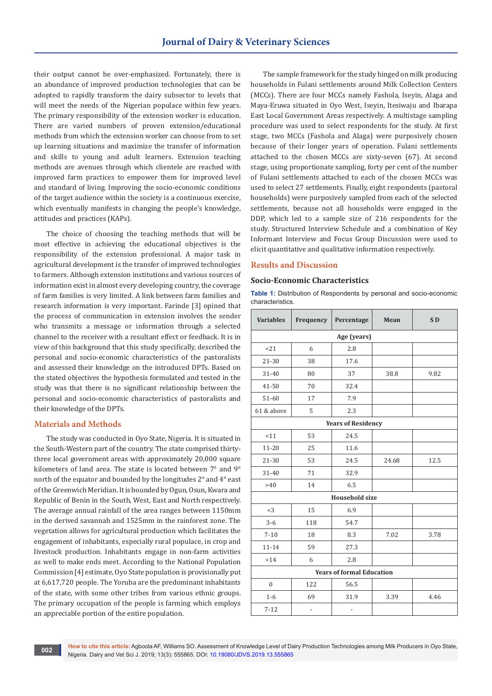their output cannot be over-emphasized. Fortunately, there is an abundance of improved production technologies that can be adopted to rapidly transform the dairy subsector to levels that will meet the needs of the Nigerian populace within few years. The primary responsibility of the extension worker is education. There are varied numbers of proven extension/educational methods from which the extension worker can choose from to set up learning situations and maximize the transfer of information and skills to young and adult learners. Extension teaching methods are avenues through which clientele are reached with improved farm practices to empower them for improved level and standard of living. Improving the socio-economic conditions of the target audience within the society is a continuous exercise, which eventually manifests in changing the people's knowledge, attitudes and practices (KAPs).

The choice of choosing the teaching methods that will be most effective in achieving the educational objectives is the responsibility of the extension professional. A major task in agricultural development is the transfer of improved technologies to farmers. Although extension institutions and various sources of information exist in almost every developing country, the coverage of farm families is very limited. A link between farm families and research information is very important. Farinde [3] opined that the process of communication in extension involves the sender who transmits a message or information through a selected channel to the receiver with a resultant effect or feedback. It is in view of this background that this study specifically, described the personal and socio-economic characteristics of the pastoralists and assessed their knowledge on the introduced DPTs. Based on the stated objectives the hypothesis formulated and tested in the study was that there is no significant relationship between the personal and socio-economic characteristics of pastoralists and their knowledge of the DPTs.

### **Materials and Methods**

The study was conducted in Oyo State, Nigeria. It is situated in the South-Western part of the country. The state comprised thirtythree local government areas with approximately 20,000 square kilometers of land area. The state is located between 7° and 9° north of the equator and bounded by the longitudes 2° and 4° east of the Greenwich Meridian. It is bounded by Ogun, Osun, Kwara and Republic of Benin in the South, West, East and North respectively. The average annual rainfall of the area ranges between 1150mm in the derived savannah and 1525mm in the rainforest zone. The vegetation allows for agricultural production which facilitates the engagement of inhabitants, especially rural populace, in crop and livestock production. Inhabitants engage in non-farm activities as well to make ends meet. According to the National Population Commission [4] estimate, Oyo State population is provisionally put at 6,617,720 people. The Yoruba are the predominant inhabitants of the state, with some other tribes from various ethnic groups. The primary occupation of the people is farming which employs an appreciable portion of the entire population.

The sample framework for the study hinged on milk producing households in Fulani settlements around Milk Collection Centers (MCCs). There are four MCCs namely Fashola, Iseyin, Alaga and Maya-Eruwa situated in Oyo West, Iseyin, Itesiwaju and Ibarapa East Local Government Areas respectively. A multistage sampling procedure was used to select respondents for the study. At first stage, two MCCs (Fashola and Alaga) were purposively chosen because of their longer years of operation. Fulani settlements attached to the chosen MCCs are sixty-seven (67). At second stage, using proportionate sampling, forty per cent of the number of Fulani settlements attached to each of the chosen MCCs was used to select 27 settlements. Finally, eight respondents (pastoral households) were purposively sampled from each of the selected settlements, because not all households were engaged in the DDP, which led to a sample size of 216 respondents for the study. Structured Interview Schedule and a combination of Key Informant Interview and Focus Group Discussion were used to elicit quantitative and qualitative information respectively.

#### **Results and Discussion**

#### **Socio-Economic Characteristics**

**Table 1:** Distribution of Respondents by personal and socio-economic characteristics.

| <b>Variables</b>                 | Frequency                | Percentage               | Mean  | S <sub>D</sub> |  |  |
|----------------------------------|--------------------------|--------------------------|-------|----------------|--|--|
| Age (years)                      |                          |                          |       |                |  |  |
| <21                              | 6                        | 2.8                      |       |                |  |  |
| $21 - 30$                        | 38                       | 17.6                     |       |                |  |  |
| 31-40                            | 80                       | 37                       | 38.8  | 9.82           |  |  |
| 41-50                            | 70                       | 32.4                     |       |                |  |  |
| 51-60                            | 17                       | 7.9                      |       |                |  |  |
| 61 & above                       | 5                        | 2.3                      |       |                |  |  |
| <b>Years of Residency</b>        |                          |                          |       |                |  |  |
| < 11                             | 53                       | 24.5                     |       |                |  |  |
| $11 - 20$                        | 25                       | 11.6                     |       |                |  |  |
| $21 - 30$                        | 53                       | 24.5                     | 24.68 | 12.5           |  |  |
| 31-40                            | 71                       | 32.9                     |       |                |  |  |
| >40                              | 14                       | 6.5                      |       |                |  |  |
| <b>Household size</b>            |                          |                          |       |                |  |  |
| $<$ 3                            | 15                       | 6.9                      |       |                |  |  |
| $3 - 6$                          | 118                      | 54.7                     |       |                |  |  |
| $7 - 10$                         | 18                       | 8.3                      | 7.02  | 3.78           |  |  |
| $11 - 14$                        | 59                       | 27.3                     |       |                |  |  |
| >14                              | 6                        | 2.8                      |       |                |  |  |
| <b>Years of formal Education</b> |                          |                          |       |                |  |  |
| $\mathbf{0}$                     | 122                      | 56.5                     |       |                |  |  |
| $1-6$                            | 69                       | 31.9                     | 3.39  | 4.46           |  |  |
| $7 - 12$                         | $\overline{\phantom{0}}$ | $\overline{\phantom{0}}$ |       |                |  |  |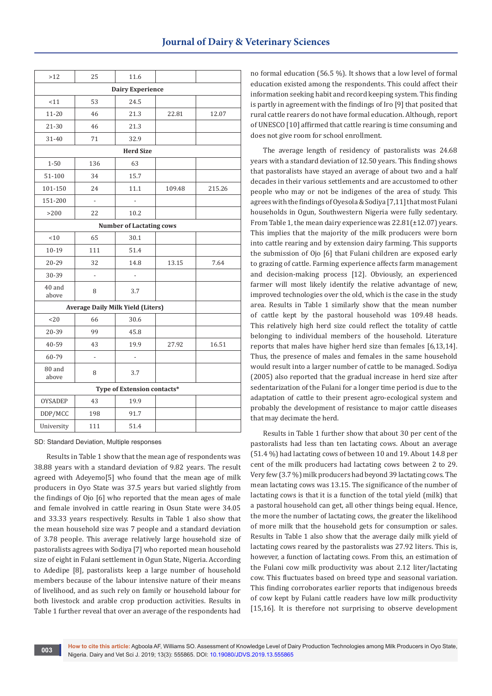| >12                             | 25                                       | 11.6                     |        |        |  |  |
|---------------------------------|------------------------------------------|--------------------------|--------|--------|--|--|
| <b>Dairy Experience</b>         |                                          |                          |        |        |  |  |
| < 11                            | 53                                       | 24.5                     |        |        |  |  |
| $11 - 20$                       | 46                                       | 21.3                     | 22.81  | 12.07  |  |  |
| 21-30                           | 46                                       | 21.3                     |        |        |  |  |
| 31-40                           | 71                                       | 32.9                     |        |        |  |  |
| <b>Herd Size</b>                |                                          |                          |        |        |  |  |
| $1 - 50$                        | 136                                      | 63                       |        |        |  |  |
| 51-100                          | 34                                       | 15.7                     |        |        |  |  |
| 101-150                         | 24                                       | 11.1                     | 109.48 | 215.26 |  |  |
| 151-200                         | $\frac{1}{2}$                            |                          |        |        |  |  |
| $>200$                          | 22                                       | 10.2                     |        |        |  |  |
| <b>Number of Lactating cows</b> |                                          |                          |        |        |  |  |
| < 10                            | 65                                       | 30.1                     |        |        |  |  |
| $10 - 19$                       | 111                                      | 51.4                     |        |        |  |  |
| 20-29                           | 32                                       | 14.8                     | 13.15  | 7.64   |  |  |
| 30-39                           | L,                                       | $\overline{\phantom{0}}$ |        |        |  |  |
| 40 and<br>above                 | 8                                        | 3.7                      |        |        |  |  |
|                                 | <b>Average Daily Milk Yield (Liters)</b> |                          |        |        |  |  |
| 20                              | 66                                       | 30.6                     |        |        |  |  |
| 20-39                           | 99                                       | 45.8                     |        |        |  |  |
| 40-59                           | 43                                       | 19.9                     | 27.92  | 16.51  |  |  |
| 60-79                           | $\overline{a}$                           |                          |        |        |  |  |
| 80 and<br>above                 | 8                                        | 3.7                      |        |        |  |  |
| Type of Extension contacts*     |                                          |                          |        |        |  |  |
| <b>OYSADEP</b>                  | 43                                       | 19.9                     |        |        |  |  |
| DDP/MCC                         | 198                                      | 91.7                     |        |        |  |  |
| University                      | 111                                      | 51.4                     |        |        |  |  |

SD: Standard Deviation, Multiple responses

Results in Table 1 show that the mean age of respondents was 38.88 years with a standard deviation of 9.82 years. The result agreed with Adeyemo[5] who found that the mean age of milk producers in Oyo State was 37.5 years but varied slightly from the findings of Ojo [6] who reported that the mean ages of male and female involved in cattle rearing in Osun State were 34.05 and 33.33 years respectively. Results in Table 1 also show that the mean household size was 7 people and a standard deviation of 3.78 people. This average relatively large household size of pastoralists agrees with Sodiya [7] who reported mean household size of eight in Fulani settlement in Ogun State, Nigeria. According to Adedipe [8], pastoralists keep a large number of household members because of the labour intensive nature of their means of livelihood, and as such rely on family or household labour for both livestock and arable crop production activities. Results in Table 1 further reveal that over an average of the respondents had

no formal education (56.5 %). It shows that a low level of formal education existed among the respondents. This could affect their information seeking habit and record keeping system. This finding is partly in agreement with the findings of Iro [9] that posited that rural cattle rearers do not have formal education. Although, report of UNESCO [10] affirmed that cattle rearing is time consuming and does not give room for school enrollment.

The average length of residency of pastoralists was 24.68 years with a standard deviation of 12.50 years. This finding shows that pastoralists have stayed an average of about two and a half decades in their various settlements and are accustomed to other people who may or not be indigenes of the area of study. This agrees with the findings of Oyesola & Sodiya [7,11] that most Fulani households in Ogun, Southwestern Nigeria were fully sedentary. From Table 1, the mean dairy experience was  $22.81(\pm 12.07)$  years. This implies that the majority of the milk producers were born into cattle rearing and by extension dairy farming. This supports the submission of Ojo [6] that Fulani children are exposed early to grazing of cattle. Farming experience affects farm management and decision-making process [12]. Obviously, an experienced farmer will most likely identify the relative advantage of new, improved technologies over the old, which is the case in the study area. Results in Table 1 similarly show that the mean number of cattle kept by the pastoral household was 109.48 heads. This relatively high herd size could reflect the totality of cattle belonging to individual members of the household. Literature reports that males have higher herd size than females [6,13,14]. Thus, the presence of males and females in the same household would result into a larger number of cattle to be managed. Sodiya (2005) also reported that the gradual increase in herd size after sedentarization of the Fulani for a longer time period is due to the adaptation of cattle to their present agro-ecological system and probably the development of resistance to major cattle diseases that may decimate the herd.

Results in Table 1 further show that about 30 per cent of the pastoralists had less than ten lactating cows. About an average (51.4 %) had lactating cows of between 10 and 19. About 14.8 per cent of the milk producers had lactating cows between 2 to 29. Very few (3.7 %) milk producers had beyond 39 lactating cows. The mean lactating cows was 13.15. The significance of the number of lactating cows is that it is a function of the total yield (milk) that a pastoral household can get, all other things being equal. Hence, the more the number of lactating cows, the greater the likelihood of more milk that the household gets for consumption or sales. Results in Table 1 also show that the average daily milk yield of lactating cows reared by the pastoralists was 27.92 liters. This is, however, a function of lactating cows. From this, an estimation of the Fulani cow milk productivity was about 2.12 liter/lactating cow. This fluctuates based on breed type and seasonal variation. This finding corroborates earlier reports that indigenous breeds of cow kept by Fulani cattle readers have low milk productivity [15,16]. It is therefore not surprising to observe development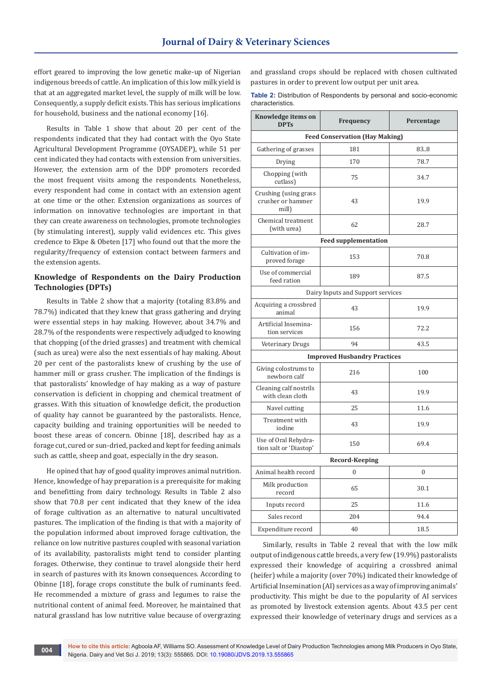effort geared to improving the low genetic make-up of Nigerian indigenous breeds of cattle. An implication of this low milk yield is that at an aggregated market level, the supply of milk will be low. Consequently, a supply deficit exists. This has serious implications for household, business and the national economy [16].

Results in Table 1 show that about 20 per cent of the respondents indicated that they had contact with the Oyo State Agricultural Development Programme (OYSADEP), while 51 per cent indicated they had contacts with extension from universities. However, the extension arm of the DDP promoters recorded the most frequent visits among the respondents. Nonetheless, every respondent had come in contact with an extension agent at one time or the other. Extension organizations as sources of information on innovative technologies are important in that they can create awareness on technologies, promote technologies (by stimulating interest), supply valid evidences etc. This gives credence to Ekpe & Obeten [17] who found out that the more the regularity/frequency of extension contact between farmers and the extension agents.

# **Knowledge of Respondents on the Dairy Production Technologies (DPTs)**

Results in Table 2 show that a majority (totaling 83.8% and 78.7%) indicated that they knew that grass gathering and drying were essential steps in hay making. However, about 34.7% and 28.7% of the respondents were respectively adjudged to knowing that chopping (of the dried grasses) and treatment with chemical (such as urea) were also the next essentials of hay making. About 20 per cent of the pastoralists knew of crushing by the use of hammer mill or grass crusher. The implication of the findings is that pastoralists' knowledge of hay making as a way of pasture conservation is deficient in chopping and chemical treatment of grasses. With this situation of knowledge deficit, the production of quality hay cannot be guaranteed by the pastoralists. Hence, capacity building and training opportunities will be needed to boost these areas of concern. Obinne [18], described hay as a forage cut, cured or sun-dried, packed and kept for feeding animals such as cattle, sheep and goat, especially in the dry season.

He opined that hay of good quality improves animal nutrition. Hence, knowledge of hay preparation is a prerequisite for making and benefitting from dairy technology. Results in Table 2 also show that 70.8 per cent indicated that they knew of the idea of forage cultivation as an alternative to natural uncultivated pastures. The implication of the finding is that with a majority of the population informed about improved forage cultivation, the reliance on low nutritive pastures coupled with seasonal variation of its availability, pastoralists might tend to consider planting forages. Otherwise, they continue to travel alongside their herd in search of pastures with its known consequences. According to Obinne [18], forage crops constitute the bulk of ruminants feed. He recommended a mixture of grass and legumes to raise the nutritional content of animal feed. Moreover, he maintained that natural grassland has low nutritive value because of overgrazing and grassland crops should be replaced with chosen cultivated pastures in order to prevent low output per unit area.

**Table 2:** Distribution of Respondents by personal and socio-economic characteristics.

| Knowledge items on<br><b>DPTs</b>                   | Frequency                           | Percentage |  |  |  |  |  |
|-----------------------------------------------------|-------------------------------------|------------|--|--|--|--|--|
| <b>Feed Conservation (Hay Making)</b>               |                                     |            |  |  |  |  |  |
| Gathering of grasses                                | 181                                 | 83.8       |  |  |  |  |  |
| Drying                                              | 170                                 | 78.7       |  |  |  |  |  |
| Chopping (with<br>cutlass)                          | 75                                  | 34.7       |  |  |  |  |  |
| Crushing (using grass<br>crusher or hammer<br>mill) | 43                                  | 19.9       |  |  |  |  |  |
| Chemical treatment<br>(with urea)                   | 62                                  | 28.7       |  |  |  |  |  |
|                                                     | <b>Feed supplementation</b>         |            |  |  |  |  |  |
| Cultivation of im-<br>proved forage                 | 153                                 | 70.8       |  |  |  |  |  |
| Use of commercial<br>feed ration                    | 189                                 | 87.5       |  |  |  |  |  |
| Dairy Inputs and Support services                   |                                     |            |  |  |  |  |  |
| Acquiring a crossbred<br>animal                     | 43                                  | 19.9       |  |  |  |  |  |
| Artificial Insemina-<br>tion services               | 156                                 | 72.2       |  |  |  |  |  |
| Veterinary Drugs                                    | 94                                  | 43.5       |  |  |  |  |  |
|                                                     | <b>Improved Husbandry Practices</b> |            |  |  |  |  |  |
| Giving colostrums to<br>newborn calf                | 216                                 | 100        |  |  |  |  |  |
| Cleaning calf nostrils<br>with clean cloth          | 43                                  | 19.9       |  |  |  |  |  |
| Navel cutting                                       | 25                                  | 11.6       |  |  |  |  |  |
| Treatment with<br>iodine                            | 43                                  | 19.9       |  |  |  |  |  |
| Use of Oral Rehydra-<br>tion salt or 'Diastop'      | 150                                 | 69.4       |  |  |  |  |  |
| Record-Keeping                                      |                                     |            |  |  |  |  |  |
| Animal health record                                | $\mathbf{0}$                        | $\theta$   |  |  |  |  |  |
| Milk production<br>record                           | 65                                  | 30.1       |  |  |  |  |  |
| Inputs record                                       | 25                                  | 11.6       |  |  |  |  |  |
| Sales record                                        | 204                                 | 94.4       |  |  |  |  |  |
| Expenditure record                                  | 40                                  | 18.5       |  |  |  |  |  |

Similarly, results in Table 2 reveal that with the low milk output of indigenous cattle breeds, a very few (19.9%) pastoralists expressed their knowledge of acquiring a crossbred animal (heifer) while a majority (over 70%) indicated their knowledge of Artificial Insemination (AI) services as a way of improving animals' productivity. This might be due to the popularity of AI services as promoted by livestock extension agents. About 43.5 per cent expressed their knowledge of veterinary drugs and services as a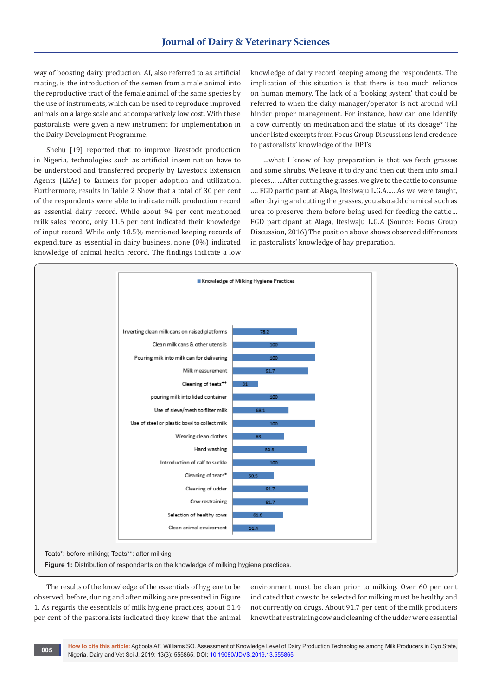way of boosting dairy production. AI, also referred to as artificial mating, is the introduction of the semen from a male animal into the reproductive tract of the female animal of the same species by the use of instruments, which can be used to reproduce improved animals on a large scale and at comparatively low cost. With these pastoralists were given a new instrument for implementation in the Dairy Development Programme.

Shehu [19] reported that to improve livestock production in Nigeria, technologies such as artificial insemination have to be understood and transferred properly by Livestock Extension Agents (LEAs) to farmers for proper adoption and utilization. Furthermore, results in Table 2 Show that a total of 30 per cent of the respondents were able to indicate milk production record as essential dairy record. While about 94 per cent mentioned milk sales record, only 11.6 per cent indicated their knowledge of input record. While only 18.5% mentioned keeping records of expenditure as essential in dairy business, none (0%) indicated knowledge of animal health record. The findings indicate a low

knowledge of dairy record keeping among the respondents. The implication of this situation is that there is too much reliance on human memory. The lack of a 'booking system' that could be referred to when the dairy manager/operator is not around will hinder proper management. For instance, how can one identify a cow currently on medication and the status of its dosage? The under listed excerpts from Focus Group Discussions lend credence to pastoralists' knowledge of the DPTs

…what I know of hay preparation is that we fetch grasses and some shrubs. We leave it to dry and then cut them into small pieces… …After cutting the grasses, we give to the cattle to consume …. FGD participant at Alaga, Itesiwaju L.G.A...…As we were taught, after drying and cutting the grasses, you also add chemical such as urea to preserve them before being used for feeding the cattle… FGD participant at Alaga, Itesiwaju L.G.A (Source: Focus Group Discussion, 2016) The position above shows observed differences in pastoralists' knowledge of hay preparation.



The results of the knowledge of the essentials of hygiene to be observed, before, during and after milking are presented in Figure 1. As regards the essentials of milk hygiene practices, about 51.4 per cent of the pastoralists indicated they knew that the animal environment must be clean prior to milking. Over 60 per cent indicated that cows to be selected for milking must be healthy and not currently on drugs. About 91.7 per cent of the milk producers knew that restraining cow and cleaning of the udder were essential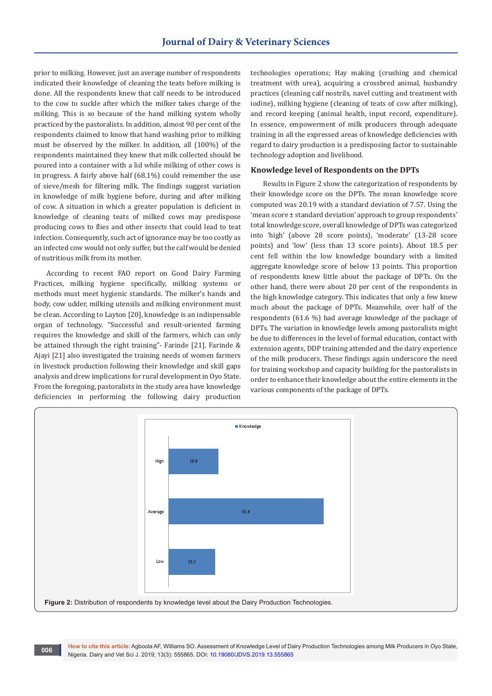prior to milking. However, just an average number of respondents indicated their knowledge of cleaning the teats before milking is done. All the respondents knew that calf needs to be introduced to the cow to suckle after which the milker takes charge of the milking. This is so because of the hand milking system wholly practiced by the pastoralists. In addition, almost 90 per cent of the respondents claimed to know that hand washing prior to milking must be observed by the milker. In addition, all (100%) of the respondents maintained they knew that milk collected should be poured into a container with a lid while milking of other cows is in progress. A fairly above half (68.1%) could remember the use of sieve/mesh for filtering milk. The findings suggest variation in knowledge of milk hygiene before, during and after milking of cow. A situation in which a greater population is deficient in knowledge of cleaning teats of milked cows may predispose producing cows to flies and other insects that could lead to teat infection. Consequently, such act of ignorance may be too costly as an infected cow would not only suffer, but the calf would be denied of nutritious milk from its mother.

According to recent FAO report on Good Dairy Farming Practices, milking hygiene specifically, milking systems or methods must meet hygienic standards. The milker's hands and body, cow udder, milking utensils and milking environment must be clean. According to Layton [20], knowledge is an indispensable organ of technology. "Successful and result-oriented farming requires the knowledge and skill of the farmers, which can only be attained through the right training"- Farinde [21]. Farinde & Ajayi [21] also investigated the training needs of women farmers in livestock production following their knowledge and skill gaps analysis and drew implications for rural development in Oyo State. From the foregoing, pastoralists in the study area have knowledge deficiencies in performing the following dairy production

technologies operations; Hay making (crushing and chemical treatment with urea), acquiring a crossbred animal, husbandry practices (cleaning calf nostrils, navel cutting and treatment with iodine), milking hygiene (cleaning of teats of cow after milking), and record keeping (animal health, input record, expenditure). In essence, empowerment of milk producers through adequate training in all the expressed areas of knowledge deficiencies with regard to dairy production is a predisposing factor to sustainable technology adoption and livelihood.

## **Knowledge level of Respondents on the DPTs**

Results in Figure 2 show the categorization of respondents by their knowledge score on the DPTs. The mean knowledge score computed was 20.19 with a standard deviation of 7.57. Using the 'mean score ± standard deviation' approach to group respondents' total knowledge score, overall knowledge of DPTs was categorized into 'high' (above 28 score points), 'moderate' (13-28 score points) and 'low' (less than 13 score points). About 18.5 per cent fell within the low knowledge boundary with a limited aggregate knowledge score of below 13 points. This proportion of respondents knew little about the package of DPTs. On the other hand, there were about 20 per cent of the respondents in the high knowledge category. This indicates that only a few knew much about the package of DPTs. Meanwhile, over half of the respondents (61.6 %) had average knowledge of the package of DPTs. The variation in knowledge levels among pastoralists might be due to differences in the level of formal education, contact with extension agents, DDP training attended and the dairy experience of the milk producers. These findings again underscore the need for training workshop and capacity building for the pastoralists in order to enhance their knowledge about the entire elements in the various components of the package of DPTs.

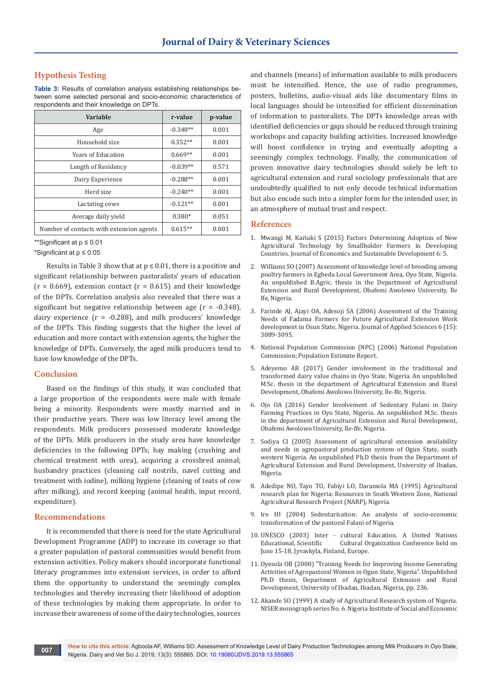# **Hypothesis Testing**

**Table 3:** Results of correlation analysis establishing relationships between some selected personal and socio-economic characteristics of respondents and their knowledge on DPTs.

| Variable                                 | r-value    | p-value |
|------------------------------------------|------------|---------|
| Age                                      | $-0.348**$ | 0.001   |
| Household size                           | $0.352**$  | 0.001   |
| <b>Years of Education</b>                | $0.669**$  | 0.001   |
| Length of Residency                      | $-0.039**$ | 0.571   |
| Dairy Experience                         | $-0.288**$ | 0.001   |
| Herd size                                | $-0.240**$ | 0.001   |
| Lactating cows                           | $-0.121**$ | 0.001   |
| Average daily yield                      | $0.380*$   | 0.051   |
| Number of contacts with extension agents | $0.615**$  | 0.001   |

<sup>\*\*</sup>Significant at p ≤ 0.01

\*Significant at p ≤ 0.05

Results in Table 3 show that at  $p \le 0.01$ , there is a positive and significant relationship between pastoralists' years of education  $(r = 0.669)$ , extension contact  $(r = 0.615)$  and their knowledge of the DPTs. Correlation analysis also revealed that there was a significant but negative relationship between age (r = -0.348), dairy experience  $(r = -0.288)$ , and milk producers' knowledge of the DPTs. This finding suggests that the higher the level of education and more contact with extension agents, the higher the knowledge of DPTs. Conversely, the aged milk producers tend to have low knowledge of the DPTs.

## **Conclusion**

Based on the findings of this study, it was concluded that a large proportion of the respondents were male with female being a minority. Respondents were mostly married and in their productive years. There was low literacy level among the respondents. Milk producers possessed moderate knowledge of the DPTs. Milk producers in the study area have knowledge deficiencies in the following DPTs; hay making (crushing and chemical treatment with urea), acquiring a crossbred animal; husbandry practices (cleaning calf nostrils, navel cutting and treatment with iodine), milking hygiene (cleaning of teats of cow after milking), and record keeping (animal health, input record, expenditure).

#### **Recommendations**

It is recommended that there is need for the state Agricultural Development Programme (ADP) to increase its coverage so that a greater population of pastoral communities would benefit from extension activities. Policy makers should incorporate functional literacy programmes into extension services, in order to afford them the opportunity to understand the seemingly complex technologies and thereby increasing their likelihood of adoption of these technologies by making them appropriate. In order to increase their awareness of some of the dairy technologies, sources

and channels (means) of information available to milk producers must be intensified. Hence, the use of radio programmes, posters, bulletins, audio-visual aids like documentary films in local languages should be intensified for efficient dissemination of information to pastoralists. The DPTs knowledge areas with identified deficiencies or gaps should be reduced through training workshops and capacity building activities. Increased knowledge will boost confidence in trying and eventually adopting a seemingly complex technology. Finally, the communication of proven innovative dairy technologies should solely be left to agricultural extension and rural sociology professionals that are undoubtedly qualified to not only decode technical information but also encode such into a simpler form for the intended user, in an atmosphere of mutual trust and respect.

## **References**

- 1. Mwangi M, Kariuki S (2015) Factors Determining Adoption of New Agricultural Technology by Smallholder Farmers in Developing Countries. Journal of Economics and Sustainable Development 6: 5.
- 2. Williams SO (2007) Assessment of knowledge level of brooding among poultry farmers in Egbeda Local Government Area, Oyo State, Nigeria. An unpublished B.Agric. thesis in the Department of Agricultural Extension and Rural Development, Obafemi Awolowo University, Ile Ife, Nigeria.
- 3. [Farinde AJ, Ajayi OA, Adesoji SA \(2006\) Assessment of the Training](https://scialert.net/fulltextmobile/?doi=jas.2006.3089.3095)  [Needs of Fadama Farmers for Future Agricultural Extension Work](https://scialert.net/fulltextmobile/?doi=jas.2006.3089.3095)  [development in Osun State, Nigeria. Journal of Applied Sciences 6 \(15\):](https://scialert.net/fulltextmobile/?doi=jas.2006.3089.3095)  [3089-3095.](https://scialert.net/fulltextmobile/?doi=jas.2006.3089.3095)
- 4. National Population Commission (NPC) (2006) National Population Commission; Population Estimate Report.
- 5. Adeyemo AR (2017) Gender involvement in the traditional and transformed dairy value chains in Oyo State, Nigeria. An unpublished M.Sc. thesis in the department of Agricultural Extension and Rural Development, Obafemi Awolowo University, Ile-Ife, Nigeria.
- 6. Ojo OA (2016) Gender Involvement of Sedentary Fulani in Dairy Farming Practices in Oyo State, Nigeria. An unpublished M.Sc. thesis in the department of Agricultural Extension and Rural Development, Obafemi Awolowo University, Ile-Ife, Nigeria.
- 7. Sodiya CI (2005) Assessment of agricultural extension availability and needs in agropastoral production system of Ogun State, south western Nigeria. An unpublished Ph.D thesis from the Department of Agricultural Extension and Rural Development, University of Ibadan, Nigeria.
- 8. Adedipe NO, Tayo TO, Fabiyi LO, Daramola MA (1995) Agricultural research plan for Nigeria: Resources in South Western Zone, National Agricultural Research Project (NARP), Nigeria.
- 9. Iro HI (2004) Sedentarisation: An analysis of socio-economic transformation of the pastoral Fulani of Nigeria.
- 10. UNESCO (2003) Inter cultural Education. A United Nations Cultural Organization Conference held on June 15-18, Jyvaskyla, Finland, Europe.
- 11. Oyesola OB (2000) "Training Needs for Improving Income Generating Activities of Agropastoral Women in Ogun State, Nigeria". Unpublished Ph.D thesis, Department of Agricultural Extension and Rural Development, University of Ibadan, Ibadan, Nigeria, pp. 236.
- 12. Akande SO (1999) A study of Agricultural Research system of Nigeria. NISER monograph series No. 6. Nigeria Institute of Social and Economic